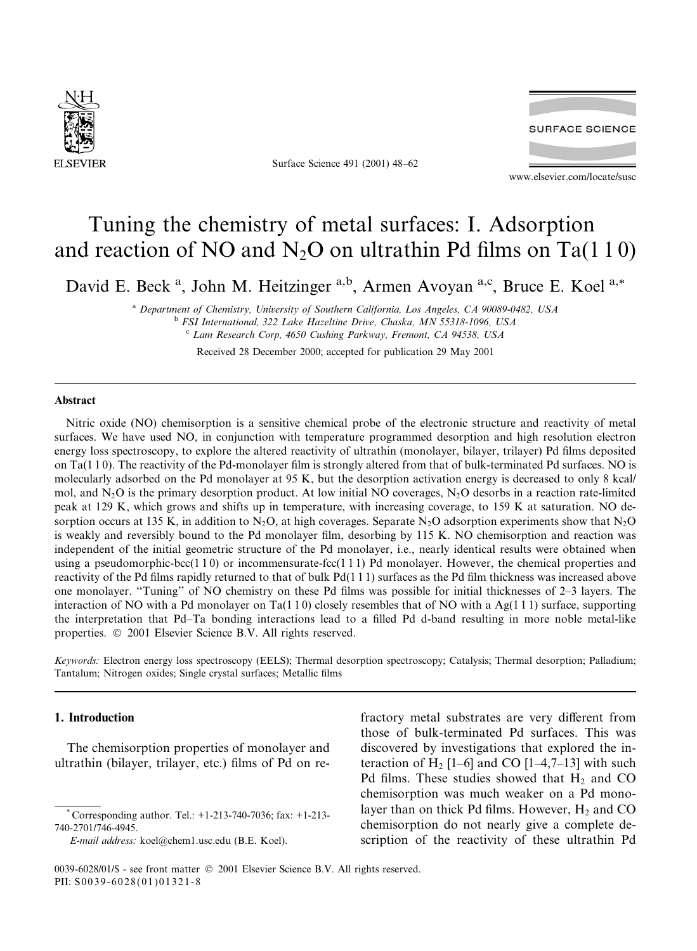

Surface Science 491 (2001) 48-62



www.elsevier.com/locate/susc

# Tuning the chemistry of metal surfaces: I. Adsorption and reaction of NO and  $N_2O$  on ultrathin Pd films on Ta(110)

David E. Beck<sup>a</sup>, John M. Heitzinger<sup>a,b</sup>, Armen Avoyan<sup>a,c</sup>, Bruce E. Koel<sup>a,\*</sup>

<sup>a</sup> Department of Chemistry, University of Southern California, Los Angeles, CA 90089-0482, USA <sup>b</sup> FSI International, 322 Lake Hazeltine Drive, Chaska, MN 55318-1096, USA <sup>c</sup> Lam Research Corp, 4650 Cushing Parkway, Fremont, CA 94538, USA

Received 28 December 2000; accepted for publication 29 May 2001

## **Abstract**

Nitric oxide (NO) chemisorption is a sensitive chemical probe of the electronic structure and reactivity of metal surfaces. We have used NO, in conjunction with temperature programmed desorption and high resolution electron energy loss spectroscopy, to explore the altered reactivity of ultrathin (monolayer, bilayer, trilayer) Pd films deposited on Ta( $110$ ). The reactivity of the Pd-monolayer film is strongly altered from that of bulk-terminated Pd surfaces. NO is molecularly adsorbed on the Pd monolayer at 95 K, but the desorption activation energy is decreased to only 8 kcal/ mol, and  $N_2O$  is the primary desorption product. At low initial NO coverages,  $N_2O$  desorbs in a reaction rate-limited peak at 129 K, which grows and shifts up in temperature, with increasing coverage, to 159 K at saturation. NO desorption occurs at 135 K, in addition to N<sub>2</sub>O, at high coverages. Separate N<sub>2</sub>O adsorption experiments show that N<sub>2</sub>O is weakly and reversibly bound to the Pd monolayer film, desorbing by 115 K. NO chemisorption and reaction was independent of the initial geometric structure of the Pd monolayer, i.e., nearly identical results were obtained when using a pseudomorphic-bcc(1 1 0) or incommensurate-fcc(1 1 1) Pd monolayer. However, the chemical properties and reactivity of the Pd films rapidly returned to that of bulk Pd(111) surfaces as the Pd film thickness was increased above one monolayer. "Tuning" of NO chemistry on these Pd films was possible for initial thicknesses of 2–3 layers. The interaction of NO with a Pd monolayer on Ta(110) closely resembles that of NO with a Ag(111) surface, supporting the interpretation that Pd–Ta bonding interactions lead to a filled Pd d-band resulting in more noble metal-like properties. © 2001 Elsevier Science B.V. All rights reserved.

Keywords: Electron energy loss spectroscopy (EELS); Thermal desorption spectroscopy; Catalysis; Thermal desorption; Palladium; Tantalum; Nitrogen oxides; Single crystal surfaces; Metallic films

# 1. Introduction

The chemisorption properties of monolayer and ultrathin (bilayer, trilayer, etc.) films of Pd on re-

E-mail address: koel@chem1.usc.edu (B.E. Koel).

fractory metal substrates are very different from those of bulk-terminated Pd surfaces. This was discovered by investigations that explored the interaction of H<sub>2</sub> [1–6] and CO [1–4,7–13] with such Pd films. These studies showed that  $H_2$  and CO chemisorption was much weaker on a Pd monolayer than on thick Pd films. However,  $H_2$  and CO chemisorption do not nearly give a complete description of the reactivity of these ultrathin Pd

Corresponding author. Tel.: +1-213-740-7036; fax: +1-213-740-2701/746-4945.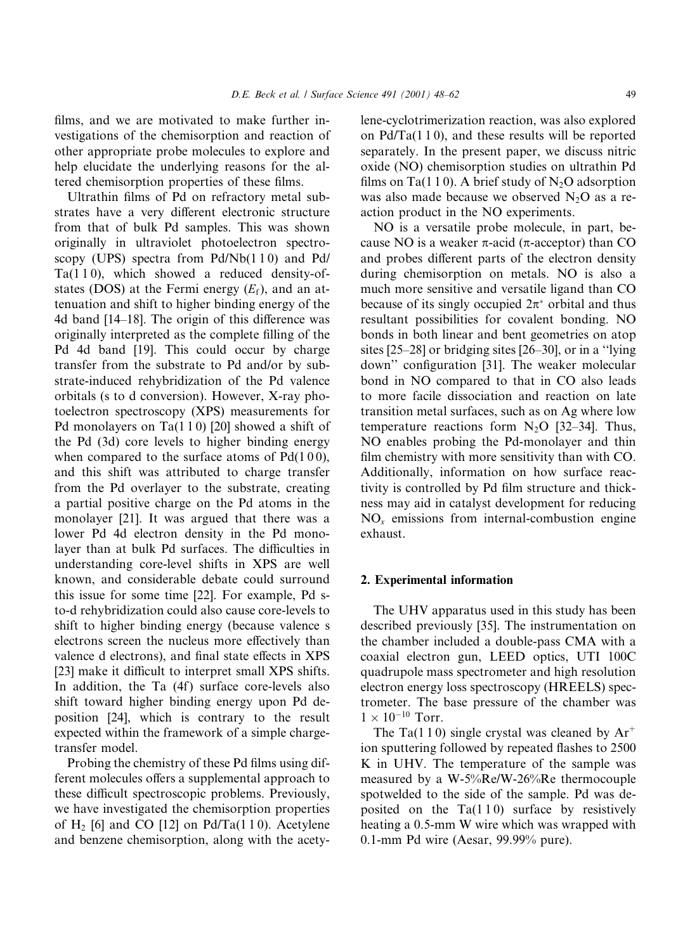D.E. Beck et al. / Surface Science 491 (2001) 48-62

films, and we are motivated to make further investigations of the chemisorption and reaction of other appropriate probe molecules to explore and help elucidate the underlying reasons for the altered chemisorption properties of these films.

Ultrathin films of Pd on refractory metal substrates have a very different electronic structure from that of bulk Pd samples. This was shown originally in ultraviolet photoelectron spectroscopy (UPS) spectra from Pd/Nb(110) and Pd/  $Ta(110)$ , which showed a reduced density-ofstates (DOS) at the Fermi energy  $(E_f)$ , and an attenuation and shift to higher binding energy of the 4d band [14–18]. The origin of this difference was originally interpreted as the complete filling of the Pd 4d band [19]. This could occur by charge transfer from the substrate to Pd and/or by substrate-induced rehybridization of the Pd valence orbitals (s to d conversion). However, X-ray photoelectron spectroscopy (XPS) measurements for Pd monolayers on  $Ta(110)$  [20] showed a shift of the Pd (3d) core levels to higher binding energy when compared to the surface atoms of  $Pd(100)$ , and this shift was attributed to charge transfer from the Pd overlayer to the substrate, creating a partial positive charge on the Pd atoms in the monolayer [21]. It was argued that there was a lower Pd 4d electron density in the Pd monolayer than at bulk Pd surfaces. The difficulties in understanding core-level shifts in XPS are well known, and considerable debate could surround this issue for some time [22]. For example, Pd sto-d rehybridization could also cause core-levels to shift to higher binding energy (because valence s electrons screen the nucleus more effectively than valence d electrons), and final state effects in XPS [23] make it difficult to interpret small XPS shifts. In addition, the Ta (4f) surface core-levels also shift toward higher binding energy upon Pd deposition [24], which is contrary to the result expected within the framework of a simple chargetransfer model.

Probing the chemistry of these Pd films using different molecules offers a supplemental approach to these difficult spectroscopic problems. Previously, we have investigated the chemisorption properties of H<sub>2</sub> [6] and CO [12] on Pd/Ta(110). Acetylene and benzene chemisorption, along with the acetylene-cyclotrimerization reaction, was also explored on  $Pd/Ta(110)$ , and these results will be reported separately. In the present paper, we discuss nitric oxide (NO) chemisorption studies on ultrathin Pd films on Ta(110). A brief study of N<sub>2</sub>O adsorption was also made because we observed  $N_2O$  as a reaction product in the NO experiments.

NO is a versatile probe molecule, in part, because NO is a weaker  $\pi$ -acid ( $\pi$ -acceptor) than CO and probes different parts of the electron density during chemisorption on metals. NO is also a much more sensitive and versatile ligand than CO because of its singly occupied  $2\pi^*$  orbital and thus resultant possibilities for covalent bonding. NO bonds in both linear and bent geometries on atop sites [25-28] or bridging sites [26-30], or in a "lying down" configuration [31]. The weaker molecular bond in NO compared to that in CO also leads to more facile dissociation and reaction on late transition metal surfaces, such as on Ag where low temperature reactions form  $N_2O$  [32–34]. Thus, NO enables probing the Pd-monolayer and thin film chemistry with more sensitivity than with CO. Additionally, information on how surface reactivity is controlled by Pd film structure and thickness may aid in catalyst development for reducing  $NO<sub>x</sub>$  emissions from internal-combustion engine exhaust.

### 2. Experimental information

The UHV apparatus used in this study has been described previously [35]. The instrumentation on the chamber included a double-pass CMA with a coaxial electron gun, LEED optics, UTI 100C quadrupole mass spectrometer and high resolution electron energy loss spectroscopy (HREELS) spectrometer. The base pressure of the chamber was  $1 \times 10^{-10}$  Torr.

The Ta(1.10) single crystal was cleaned by  $Ar^+$ ion sputtering followed by repeated flashes to 2500 K in UHV. The temperature of the sample was measured by a W-5%Re/W-26%Re thermocouple spotwelded to the side of the sample. Pd was deposited on the  $Ta(110)$  surface by resistively heating a 0.5-mm W wire which was wrapped with 0.1-mm Pd wire (Aesar,  $99.99\%$  pure).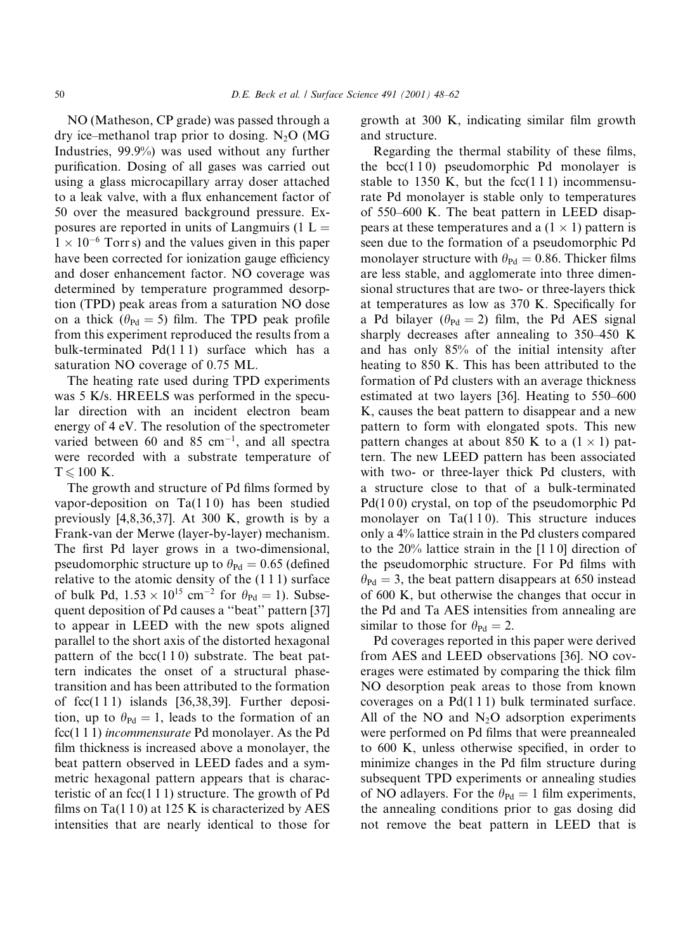NO (Matheson, CP grade) was passed through a dry ice–methanol trap prior to dosing.  $N_2O$  (MG Industries, 99.9%) was used without any further purification. Dosing of all gases was carried out using a glass microcapillary array doser attached to a leak valve, with a flux enhancement factor of 50 over the measured background pressure. Exposures are reported in units of Langmuirs (1  $L =$  $1 \times 10^{-6}$  Torrs) and the values given in this paper have been corrected for ionization gauge efficiency and doser enhancement factor. NO coverage was determined by temperature programmed desorption (TPD) peak areas from a saturation NO dose on a thick ( $\theta_{\text{Pd}} = 5$ ) film. The TPD peak profile from this experiment reproduced the results from a bulk-terminated Pd(111) surface which has a saturation NO coverage of 0.75 ML.

The heating rate used during TPD experiments was 5 K/s. HREELS was performed in the specular direction with an incident electron beam energy of 4 eV. The resolution of the spectrometer varied between 60 and 85 cm<sup>-1</sup>, and all spectra were recorded with a substrate temperature of  $T \le 100$  K.

The growth and structure of Pd films formed by vapor-deposition on  $Ta(110)$  has been studied previously  $[4,8,36,37]$ . At 300 K, growth is by a Frank-van der Merwe (layer-by-layer) mechanism. The first Pd layer grows in a two-dimensional, pseudomorphic structure up to  $\theta_{\text{Pd}} = 0.65$  (defined relative to the atomic density of the  $(1\ 1\ 1)$  surface of bulk Pd,  $1.53 \times 10^{15}$  cm<sup>-2</sup> for  $\theta_{\text{Pd}} = 1$ ). Subsequent deposition of Pd causes a "beat" pattern [37] to appear in LEED with the new spots aligned parallel to the short axis of the distorted hexagonal pattern of the  $bcc(110)$  substrate. The beat pattern indicates the onset of a structural phasetransition and has been attributed to the formation of  $fcc(111)$  islands [36,38,39]. Further deposition, up to  $\theta_{\text{Pd}} = 1$ , leads to the formation of an  $fcc(111)$  incommensurate Pd monolayer. As the Pd film thickness is increased above a monolayer, the beat pattern observed in LEED fades and a symmetric hexagonal pattern appears that is characteristic of an  $fcc(111)$  structure. The growth of Pd films on Ta( $110$ ) at 125 K is characterized by AES intensities that are nearly identical to those for growth at 300 K, indicating similar film growth and structure.

Regarding the thermal stability of these films, the bcc $(110)$  pseudomorphic Pd monolayer is stable to 1350 K, but the  $fcc(111)$  incommensurate Pd monolayer is stable only to temperatures of 550–600 K. The beat pattern in LEED disappears at these temperatures and a  $(1 \times 1)$  pattern is seen due to the formation of a pseudomorphic Pd monolayer structure with  $\theta_{\text{Pd}} = 0.86$ . Thicker films are less stable, and agglomerate into three dimensional structures that are two- or three-layers thick at temperatures as low as 370 K. Specifically for a Pd bilayer ( $\theta_{\text{Pd}} = 2$ ) film, the Pd AES signal sharply decreases after annealing to 350–450 K and has only 85% of the initial intensity after heating to 850 K. This has been attributed to the formation of Pd clusters with an average thickness estimated at two layers [36]. Heating to 550–600 K, causes the beat pattern to disappear and a new pattern to form with elongated spots. This new pattern changes at about 850 K to a  $(1 \times 1)$  pattern. The new LEED pattern has been associated with two- or three-layer thick Pd clusters, with a structure close to that of a bulk-terminated  $Pd(100)$  crystal, on top of the pseudomorphic Pd monolayer on  $Ta(110)$ . This structure induces only a 4% lattice strain in the Pd clusters compared to the  $20\%$  lattice strain in the [1 1 0] direction of the pseudomorphic structure. For Pd films with  $\theta_{\text{Pd}} = 3$ , the beat pattern disappears at 650 instead of 600 K, but otherwise the changes that occur in the Pd and Ta AES intensities from annealing are similar to those for  $\theta_{\text{Pd}} = 2$ .

Pd coverages reported in this paper were derived from AES and LEED observations [36]. NO coverages were estimated by comparing the thick film NO desorption peak areas to those from known coverages on a  $Pd(111)$  bulk terminated surface. All of the NO and  $N_2O$  adsorption experiments were performed on Pd films that were preannealed to 600 K, unless otherwise specified, in order to minimize changes in the Pd film structure during subsequent TPD experiments or annealing studies of NO adlayers. For the  $\theta_{\text{Pd}} = 1$  film experiments, the annealing conditions prior to gas dosing did not remove the beat pattern in LEED that is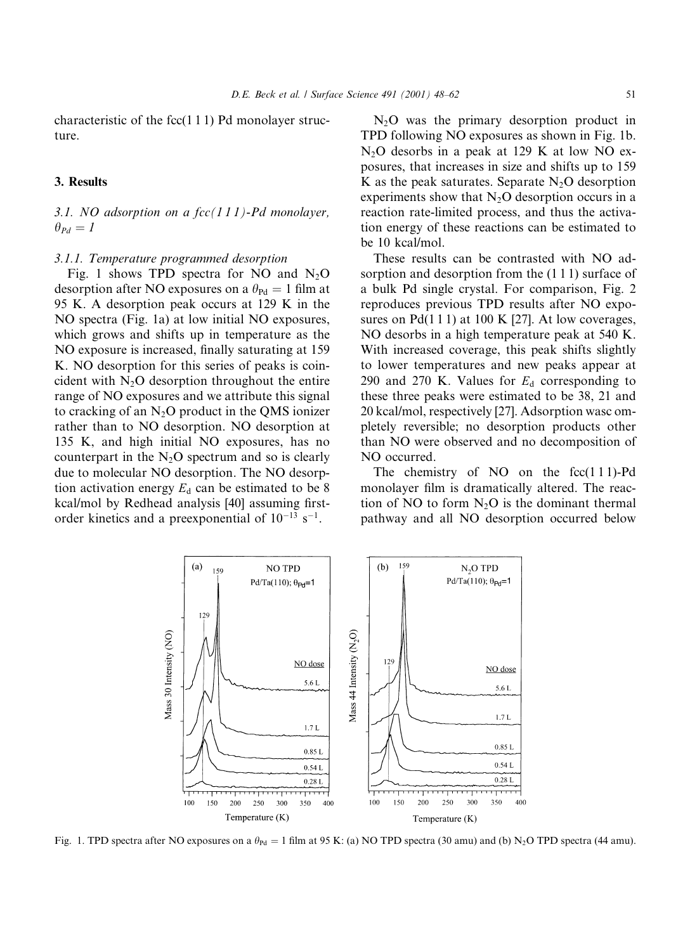characteristic of the  $fcc(111)$  Pd monolayer structure.

## 3. Results

# 3.1. NO adsorption on a  $fcc(111)$ -Pd monolayer,  $\theta_{Pd}=I$

#### 3.1.1. Temperature programmed desorption

Fig. 1 shows TPD spectra for NO and  $N_2O$ desorption after NO exposures on a  $\theta_{\text{Pd}} = 1$  film at 95 K. A desorption peak occurs at 129 K in the NO spectra (Fig. 1a) at low initial NO exposures, which grows and shifts up in temperature as the NO exposure is increased, finally saturating at 159 K. NO desorption for this series of peaks is coincident with  $N_2O$  desorption throughout the entire range of NO exposures and we attribute this signal to cracking of an  $N_2O$  product in the QMS ionizer rather than to NO desorption. NO desorption at 135 K, and high initial NO exposures, has no counterpart in the  $N_2O$  spectrum and so is clearly due to molecular NO desorption. The NO desorption activation energy  $E_d$  can be estimated to be 8 kcal/mol by Redhead analysis [40] assuming firstorder kinetics and a preexponential of  $10^{-13}$  s<sup>-1</sup>.

 $(a)$ 

159

 $N_2O$  was the primary desorption product in TPD following NO exposures as shown in Fig. 1b.  $N<sub>2</sub>O$  desorbs in a peak at 129 K at low NO exposures, that increases in size and shifts up to 159 K as the peak saturates. Separate  $N_2O$  desorption experiments show that  $N_2O$  desorption occurs in a reaction rate-limited process, and thus the activation energy of these reactions can be estimated to be 10 kcal/mol.

These results can be contrasted with NO adsorption and desorption from the  $(1\ 1\ 1)$  surface of a bulk Pd single crystal. For comparison, Fig. 2 reproduces previous TPD results after NO exposures on  $Pd(111)$  at 100 K [27]. At low coverages, NO desorbs in a high temperature peak at 540 K. With increased coverage, this peak shifts slightly to lower temperatures and new peaks appear at 290 and 270 K. Values for  $E_d$  corresponding to these three peaks were estimated to be 38, 21 and 20 kcal/mol, respectively [27]. Adsorption wasc ompletely reversible; no desorption products other than NO were observed and no decomposition of NO occurred.

The chemistry of NO on the  $fcc(111)$ -Pd monolayer film is dramatically altered. The reaction of NO to form  $N_2O$  is the dominant thermal pathway and all NO desorption occurred below

N<sub>2</sub>O TPD

Pd/Ta(110);  $\theta_{\text{Pd}} = 1$ 



**NO TPD** 

Pd/Ta(110);  $\theta_{\text{Pd}} = 1$ 

159

 $(b)$ 

Fig. 1. TPD spectra after NO exposures on a  $\theta_{\text{Pd}} = 1$  film at 95 K: (a) NO TPD spectra (30 amu) and (b) N<sub>2</sub>O TPD spectra (44 amu).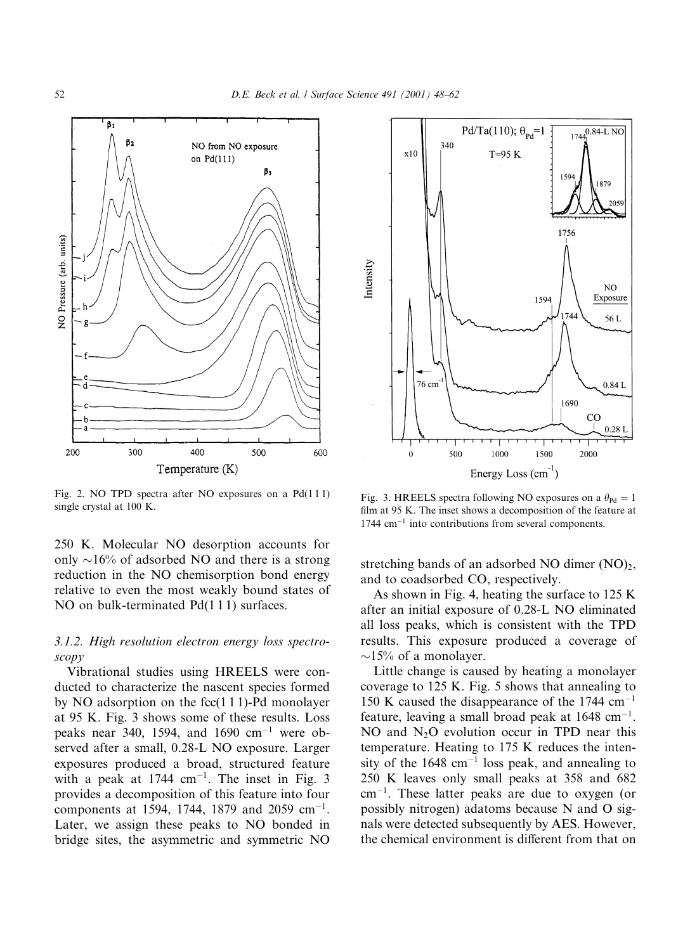

Fig. 2. NO TPD spectra after NO exposures on a  $Pd(111)$ single crystal at 100 K.

250 K. Molecular NO desorption accounts for only  $\sim$ 16% of adsorbed NO and there is a strong reduction in the NO chemisorption bond energy relative to even the most weakly bound states of NO on bulk-terminated  $Pd(111)$  surfaces.

# 3.1.2. High resolution electron energy loss spectro $scopy$

Vibrational studies using HREELS were conducted to characterize the nascent species formed by NO adsorption on the  $fcc(111)$ -Pd monolayer at 95 K. Fig. 3 shows some of these results. Loss peaks near 340, 1594, and 1690  $cm^{-1}$  were observed after a small, 0.28-L NO exposure. Larger exposures produced a broad, structured feature with a peak at  $1744 \text{ cm}^{-1}$ . The inset in Fig. 3 provides a decomposition of this feature into four components at 1594, 1744, 1879 and 2059 cm<sup>-1</sup>. Later, we assign these peaks to NO bonded in bridge sites, the asymmetric and symmetric NO



Fig. 3. HREELS spectra following NO exposures on a  $\theta_{\text{Pd}} = 1$ film at 95 K. The inset shows a decomposition of the feature at  $1744$  cm<sup>-1</sup> into contributions from several components.

stretching bands of an adsorbed NO dimer  $(NO)_{2}$ , and to coadsorbed CO, respectively.

As shown in Fig. 4, heating the surface to 125 K after an initial exposure of 0.28-L NO eliminated all loss peaks, which is consistent with the TPD results. This exposure produced a coverage of  $\sim$ 15% of a monolayer.

Little change is caused by heating a monolayer coverage to 125 K. Fig. 5 shows that annealing to 150 K caused the disappearance of the 1744 cm<sup>-1</sup> feature, leaving a small broad peak at  $1648 \text{ cm}^{-1}$ . NO and  $N_2O$  evolution occur in TPD near this temperature. Heating to 175 K reduces the intensity of the  $1648 \text{ cm}^{-1}$  loss peak, and annealing to 250 K leaves only small peaks at 358 and 682  $cm^{-1}$ . These latter peaks are due to oxygen (or possibly nitrogen) adatoms because N and O signals were detected subsequently by AES. However, the chemical environment is different from that on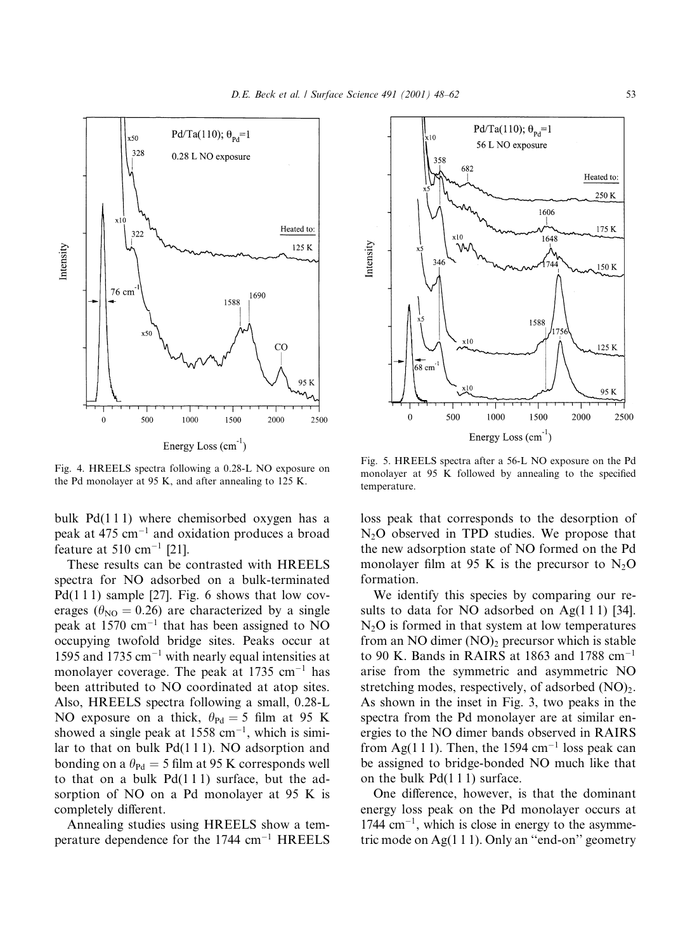

Energy Loss  $(cm<sup>-1</sup>)$ 

Fig. 4. HREELS spectra following a 0.28-L NO exposure on the Pd monolayer at 95 K, and after annealing to 125 K.

bulk Pd(111) where chemisorbed oxygen has a peak at 475 cm<sup> $-1$ </sup> and oxidation produces a broad feature at 510 cm<sup>-1</sup> [21].

These results can be contrasted with HREELS spectra for NO adsorbed on a bulk-terminated  $Pd(111)$  sample [27]. Fig. 6 shows that low coverages ( $\theta_{\text{NO}} = 0.26$ ) are characterized by a single peak at 1570 cm<sup>-1</sup> that has been assigned to NO occupying twofold bridge sites. Peaks occur at 1595 and 1735  $cm^{-1}$  with nearly equal intensities at monolayer coverage. The peak at 1735  $cm^{-1}$  has been attributed to NO coordinated at atop sites. Also, HREELS spectra following a small, 0.28-L NO exposure on a thick,  $\theta_{\text{Pd}} = 5$  film at 95 K showed a single peak at  $1558 \text{ cm}^{-1}$ , which is similar to that on bulk Pd(111). NO adsorption and bonding on a  $\theta_{\text{Pd}} = 5$  film at 95 K corresponds well to that on a bulk  $Pd(111)$  surface, but the adsorption of NO on a Pd monolayer at 95 K is completely different.

Annealing studies using HREELS show a temperature dependence for the  $1744 \text{ cm}^{-1}$  HREELS



Fig. 5. HREELS spectra after a 56-L NO exposure on the Pd monolayer at 95 K followed by annealing to the specified temperature.

loss peak that corresponds to the desorption of  $N_2O$  observed in TPD studies. We propose that the new adsorption state of NO formed on the Pd monolayer film at 95 K is the precursor to  $N_2O$ formation.

We identify this species by comparing our results to data for NO adsorbed on  $Ag(111)$  [34].  $N_2O$  is formed in that system at low temperatures from an NO dimer (NO), precursor which is stable to 90 K. Bands in RAIRS at 1863 and 1788  $cm^{-1}$ arise from the symmetric and asymmetric NO stretching modes, respectively, of adsorbed  $(NO)_{2}$ . As shown in the inset in Fig. 3, two peaks in the spectra from the Pd monolayer are at similar energies to the NO dimer bands observed in RAIRS from Ag(111). Then, the 1594 cm<sup>-1</sup> loss peak can be assigned to bridge-bonded NO much like that on the bulk  $Pd(111)$  surface.

One difference, however, is that the dominant energy loss peak on the Pd monolayer occurs at  $1744$  cm<sup>-1</sup>, which is close in energy to the asymmetric mode on Ag $(1 1 1)$ . Only an "end-on" geometry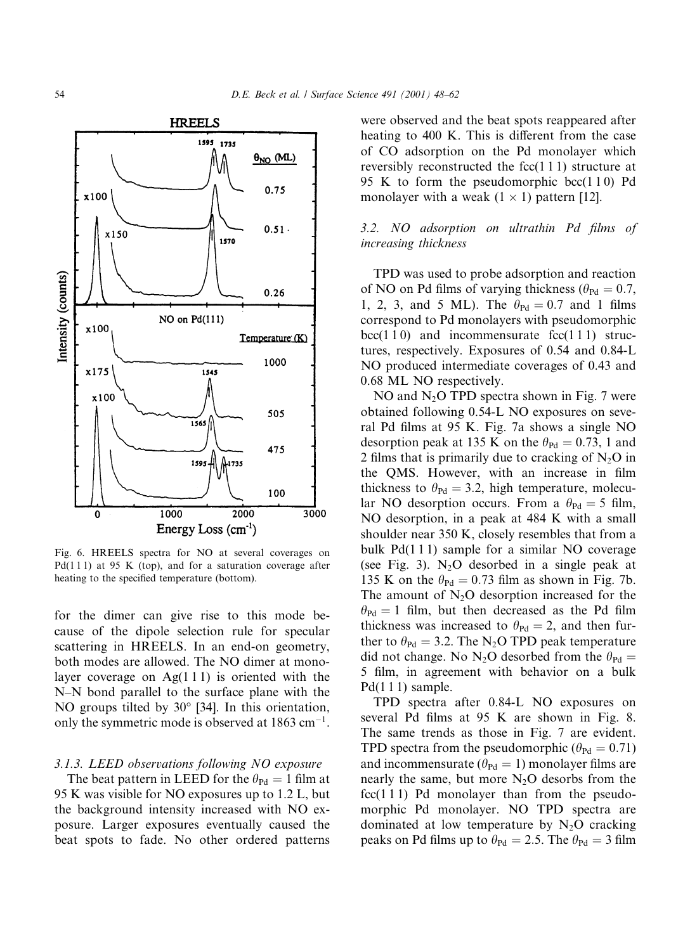

Fig. 6. HREELS spectra for NO at several coverages on  $Pd(111)$  at 95 K (top), and for a saturation coverage after heating to the specified temperature (bottom).

for the dimer can give rise to this mode because of the dipole selection rule for specular scattering in HREELS. In an end-on geometry, both modes are allowed. The NO dimer at monolayer coverage on  $Ag(111)$  is oriented with the N-N bond parallel to the surface plane with the NO groups tilted by  $30^{\circ}$  [34]. In this orientation, only the symmetric mode is observed at  $1863 \text{ cm}^{-1}$ .

#### 3.1.3. LEED observations following NO exposure

The beat pattern in LEED for the  $\theta_{\text{Pd}} = 1$  film at 95 K was visible for NO exposures up to 1.2 L, but the background intensity increased with NO exposure. Larger exposures eventually caused the beat spots to fade. No other ordered patterns

were observed and the beat spots reappeared after heating to 400 K. This is different from the case of CO adsorption on the Pd monolayer which reversibly reconstructed the  $fcc(111)$  structure at 95 K to form the pseudomorphic bcc $(110)$  Pd monolayer with a weak  $(1 \times 1)$  pattern [12].

## 3.2. NO adsorption on ultrathin Pd films of increasing thickness

TPD was used to probe adsorption and reaction of NO on Pd films of varying thickness ( $\theta_{\text{Pd}} = 0.7$ , 1, 2, 3, and 5 ML). The  $\theta_{\text{Pd}} = 0.7$  and 1 films correspond to Pd monolayers with pseudomorphic  $bcc(110)$  and incommensurate  $fcc(111)$  structures, respectively. Exposures of 0.54 and 0.84-L NO produced intermediate coverages of 0.43 and 0.68 ML NO respectively.

NO and  $N_2O$  TPD spectra shown in Fig. 7 were obtained following 0.54-L NO exposures on several Pd films at 95 K. Fig. 7a shows a single NO desorption peak at 135 K on the  $\theta_{\text{Pd}} = 0.73$ , 1 and 2 films that is primarily due to cracking of  $N_2O$  in the QMS. However, with an increase in film thickness to  $\theta_{\text{Pd}} = 3.2$ , high temperature, molecular NO desorption occurs. From a  $\theta_{\text{Pd}} = 5$  film, NO desorption, in a peak at 484 K with a small shoulder near 350 K, closely resembles that from a bulk  $Pd(111)$  sample for a similar NO coverage (see Fig. 3).  $N_2O$  desorbed in a single peak at 135 K on the  $\theta_{\text{Pd}} = 0.73$  film as shown in Fig. 7b. The amount of  $N_2O$  desorption increased for the  $\theta_{\text{Pd}} = 1$  film, but then decreased as the Pd film thickness was increased to  $\theta_{\text{Pd}} = 2$ , and then further to  $\theta_{\text{Pd}} = 3.2$ . The N<sub>2</sub>O TPD peak temperature did not change. No N<sub>2</sub>O desorbed from the  $\theta_{\text{Pd}} =$ 5 film, in agreement with behavior on a bulk  $Pd(111)$  sample.

TPD spectra after 0.84-L NO exposures on several Pd films at 95 K are shown in Fig. 8. The same trends as those in Fig. 7 are evident. TPD spectra from the pseudomorphic ( $\theta_{\text{Pd}} = 0.71$ ) and incommensurate ( $\theta_{\text{Pd}} = 1$ ) monolayer films are nearly the same, but more  $N_2O$  desorbs from the  $fcc(111)$  Pd monolayer than from the pseudomorphic Pd monolayer. NO TPD spectra are dominated at low temperature by  $N_2O$  cracking peaks on Pd films up to  $\theta_{\text{Pd}} = 2.5$ . The  $\theta_{\text{Pd}} = 3$  film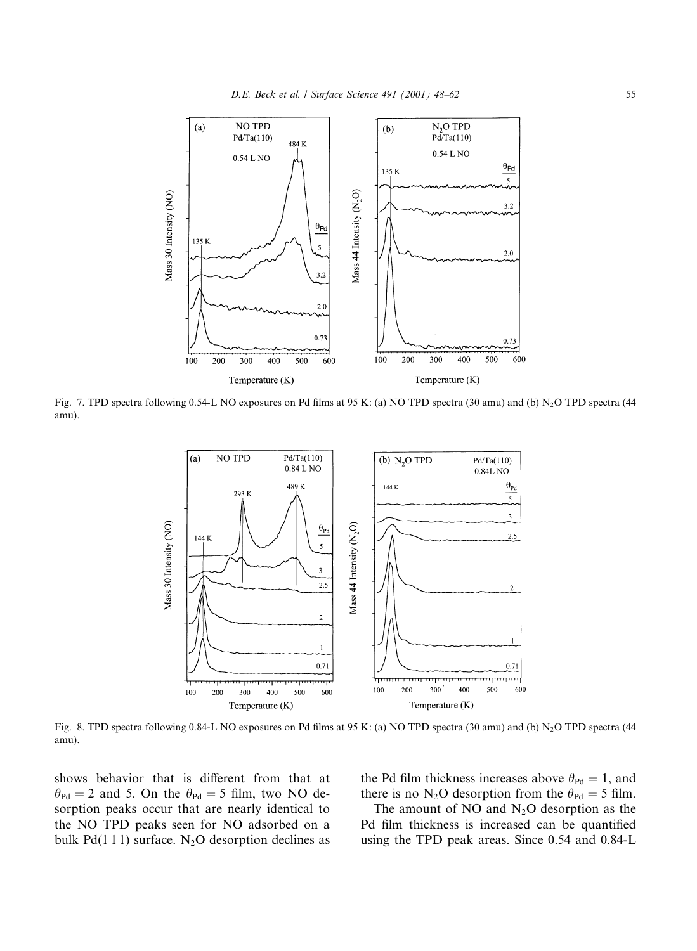

Fig. 7. TPD spectra following 0.54-L NO exposures on Pd films at 95 K: (a) NO TPD spectra (30 amu) and (b)  $N_2O$  TPD spectra (44 amu).



Fig. 8. TPD spectra following 0.84-L NO exposures on Pd films at 95 K: (a) NO TPD spectra (30 amu) and (b)  $N_2O$  TPD spectra (44 amu).

shows behavior that is different from that at  $\theta_{\text{Pd}} = 2$  and 5. On the  $\theta_{\text{Pd}} = 5$  film, two NO desorption peaks occur that are nearly identical to the NO TPD peaks seen for NO adsorbed on a bulk  $Pd(111)$  surface. N<sub>2</sub>O desorption declines as the Pd film thickness increases above  $\theta_{\text{Pd}} = 1$ , and there is no N<sub>2</sub>O desorption from the  $\theta_{\text{Pd}} = 5$  film.

The amount of NO and  $N_2O$  desorption as the Pd film thickness is increased can be quantified using the TPD peak areas. Since 0.54 and 0.84-L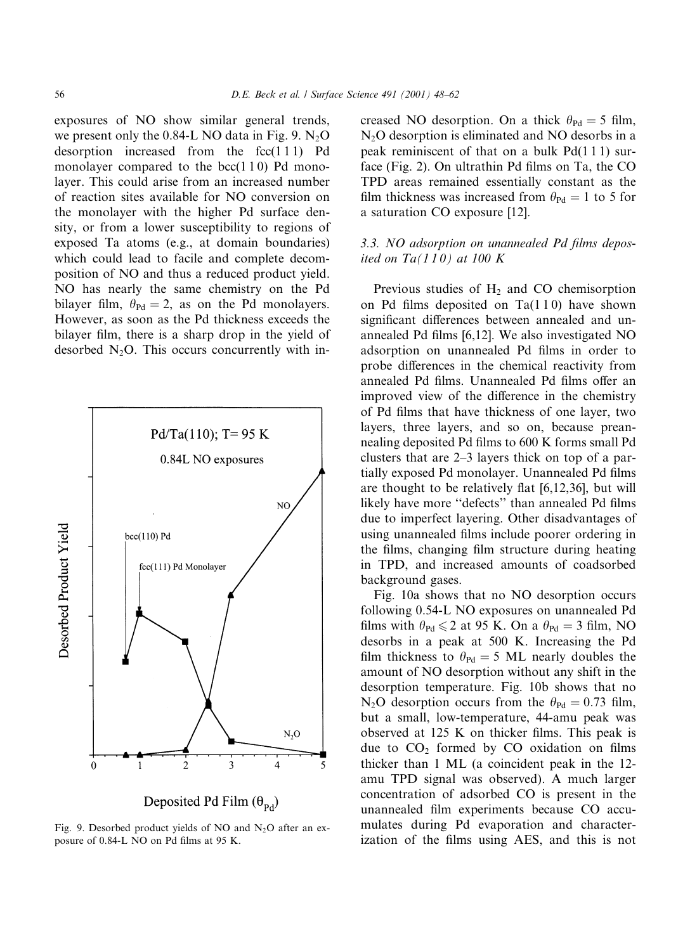exposures of NO show similar general trends, we present only the 0.84-L NO data in Fig. 9.  $N_2$ O desorption increased from the  $fcc(111)$  Pd monolayer compared to the  $bcc(110)$  Pd monolayer. This could arise from an increased number of reaction sites available for NO conversion on the monolayer with the higher Pd surface density, or from a lower susceptibility to regions of exposed Ta atoms (e.g., at domain boundaries) which could lead to facile and complete decomposition of NO and thus a reduced product yield. NO has nearly the same chemistry on the Pd bilayer film,  $\theta_{\text{Pd}} = 2$ , as on the Pd monolayers. However, as soon as the Pd thickness exceeds the bilayer film, there is a sharp drop in the yield of desorbed  $N_2O$ . This occurs concurrently with in-



Deposited Pd Film  $(\theta_{\rm pd})$ 

Fig. 9. Desorbed product yields of NO and N<sub>2</sub>O after an exposure of 0.84-L NO on Pd films at 95 K.

creased NO desorption. On a thick  $\theta_{\text{Pd}} = 5$  film,  $N_2O$  desorption is eliminated and NO desorbs in a peak reminiscent of that on a bulk  $Pd(111)$  surface (Fig. 2). On ultrathin Pd films on Ta, the CO TPD areas remained essentially constant as the film thickness was increased from  $\theta_{\text{Pd}} = 1$  to 5 for a saturation CO exposure [12].

## 3.3. NO adsorption on unannealed Pd films deposited on  $Ta(110)$  at 100 K

Previous studies of  $H_2$  and CO chemisorption on Pd films deposited on  $Ta(110)$  have shown significant differences between annealed and unannealed Pd films [6,12]. We also investigated NO adsorption on unannealed Pd films in order to probe differences in the chemical reactivity from annealed Pd films. Unannealed Pd films offer an improved view of the difference in the chemistry of Pd films that have thickness of one layer, two lavers, three lavers, and so on, because preannealing deposited Pd films to 600 K forms small Pd clusters that are  $2-3$  layers thick on top of a partially exposed Pd monolayer. Unannealed Pd films are thought to be relatively flat  $[6,12,36]$ , but will likely have more "defects" than annealed Pd films due to imperfect layering. Other disadvantages of using unannealed films include poorer ordering in the films, changing film structure during heating in TPD, and increased amounts of coadsorbed background gases.

Fig. 10a shows that no NO desorption occurs following 0.54-L NO exposures on unannealed Pd films with  $\theta_{\text{Pd}} \leq 2$  at 95 K. On a  $\theta_{\text{Pd}} = 3$  film, NO desorbs in a peak at 500 K. Increasing the Pd film thickness to  $\theta_{\text{Pd}} = 5$  ML nearly doubles the amount of NO desorption without any shift in the desorption temperature. Fig. 10b shows that no N<sub>2</sub>O desorption occurs from the  $\theta_{\text{Pd}} = 0.73$  film, but a small, low-temperature, 44-amu peak was observed at 125 K on thicker films. This peak is due to  $CO<sub>2</sub>$  formed by CO oxidation on films thicker than 1 ML (a coincident peak in the 12amu TPD signal was observed). A much larger concentration of adsorbed CO is present in the unannealed film experiments because CO accumulates during Pd evaporation and characterization of the films using AES, and this is not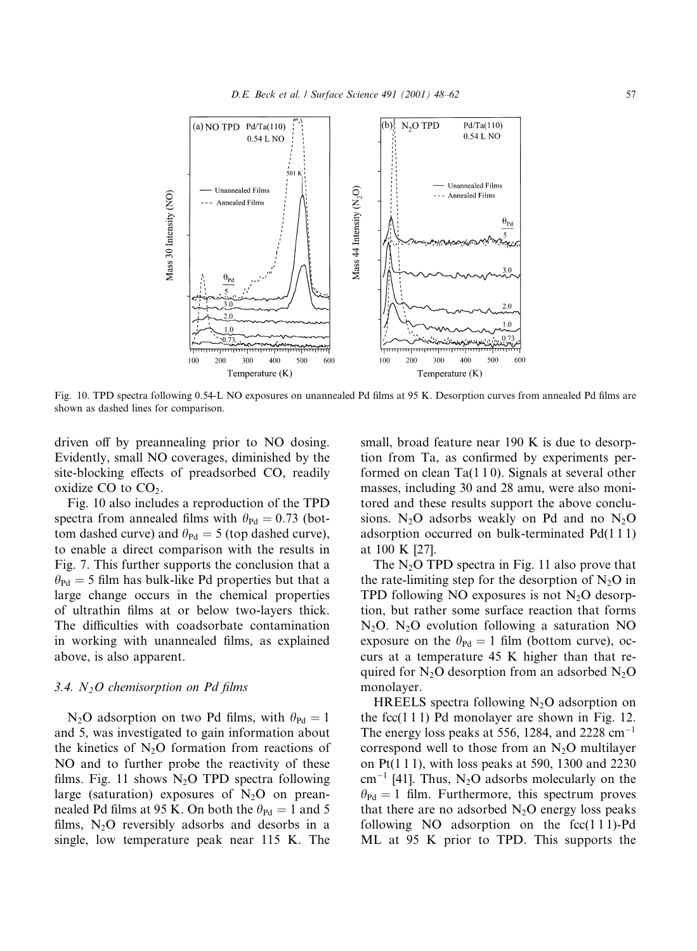

Fig. 10. TPD spectra following 0.54-L NO exposures on unannealed Pd films at 95 K. Desorption curves from annealed Pd films are shown as dashed lines for comparison.

driven off by preannealing prior to NO dosing. Evidently, small NO coverages, diminished by the site-blocking effects of preadsorbed CO, readily oxidize CO to  $CO<sub>2</sub>$ .

Fig. 10 also includes a reproduction of the TPD spectra from annealed films with  $\theta_{\text{Pd}} = 0.73$  (bottom dashed curve) and  $\theta_{\text{Pd}} = 5$  (top dashed curve), to enable a direct comparison with the results in Fig. 7. This further supports the conclusion that a  $\theta_{\text{Pd}} = 5$  film has bulk-like Pd properties but that a large change occurs in the chemical properties of ultrathin films at or below two-layers thick. The difficulties with coadsorbate contamination in working with unannealed films, as explained above, is also apparent.

#### 3.4.  $N$ , O chemisorption on Pd films

N<sub>2</sub>O adsorption on two Pd films, with  $\theta_{\text{Pd}} = 1$ and 5, was investigated to gain information about the kinetics of  $N_2O$  formation from reactions of NO and to further probe the reactivity of these films. Fig. 11 shows  $N_2O$  TPD spectra following large (saturation) exposures of  $N_2O$  on preannealed Pd films at 95 K. On both the  $\theta_{\text{Pd}} = 1$  and 5 films,  $N_2O$  reversibly adsorbs and desorbs in a single, low temperature peak near 115 K. The

small, broad feature near 190 K is due to desorption from Ta, as confirmed by experiments performed on clean  $Ta(110)$ . Signals at several other masses, including 30 and 28 amu, were also monitored and these results support the above conclusions. N<sub>2</sub>O adsorbs weakly on Pd and no N<sub>2</sub>O adsorption occurred on bulk-terminated  $Pd(111)$ at 100 K [27].

The  $N_2O$  TPD spectra in Fig. 11 also prove that the rate-limiting step for the desorption of  $N_2O$  in TPD following NO exposures is not  $N_2O$  desorption, but rather some surface reaction that forms  $N_2O$ .  $N_2O$  evolution following a saturation NO exposure on the  $\theta_{\text{Pd}} = 1$  film (bottom curve), occurs at a temperature 45 K higher than that required for  $N_2O$  desorption from an adsorbed  $N_2O$ monolayer.

HREELS spectra following  $N_2O$  adsorption on the fcc $(111)$  Pd monolayer are shown in Fig. 12. The energy loss peaks at 556, 1284, and 2228  $cm^{-1}$ correspond well to those from an  $N_2O$  multilayer on Pt(1 1 1), with loss peaks at 590, 1300 and 2230  $\text{cm}^{-1}$  [41]. Thus, N<sub>2</sub>O adsorbs molecularly on the  $\theta_{\text{Pd}} = 1$  film. Furthermore, this spectrum proves that there are no adsorbed  $N_2O$  energy loss peaks following NO adsorption on the  $fcc(111)$ -Pd ML at 95 K prior to TPD. This supports the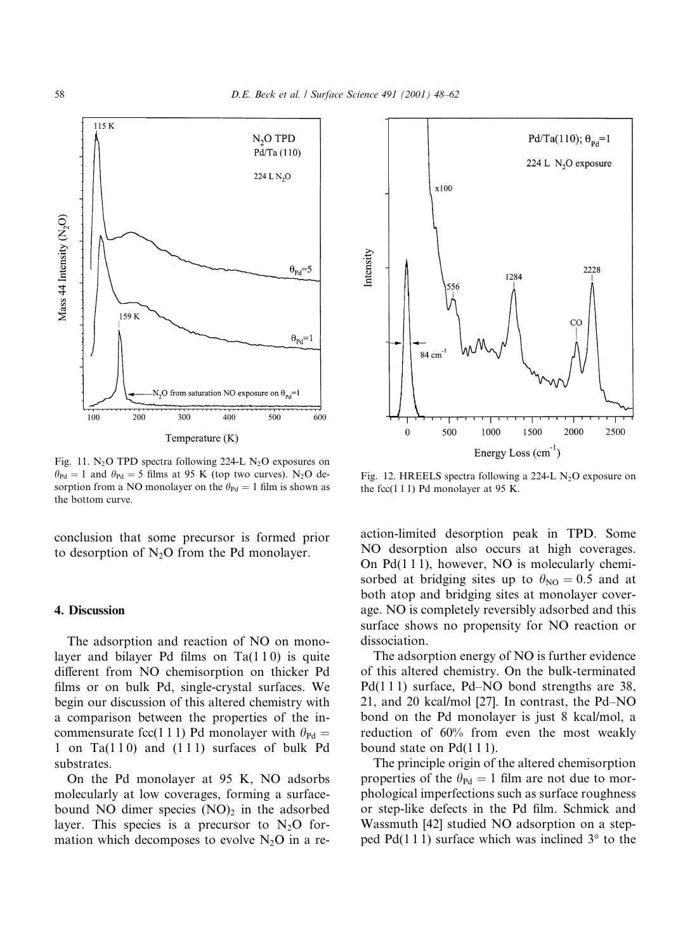

Fig. 11. N<sub>2</sub>O TPD spectra following 224-L N<sub>2</sub>O exposures on  $\theta_{\text{Pd}} = 1$  and  $\theta_{\text{Pd}} = 5$  films at 95 K (top two curves). N<sub>2</sub>O desorption from a NO monolayer on the  $\theta_{\text{Pd}} = 1$  film is shown as the bottom curve.

conclusion that some precursor is formed prior to desorption of  $N_2O$  from the Pd monolayer.

## 4. Discussion

The adsorption and reaction of NO on monolayer and bilayer Pd films on  $Ta(110)$  is quite different from NO chemisorption on thicker Pd films or on bulk Pd, single-crystal surfaces. We begin our discussion of this altered chemistry with a comparison between the properties of the incommensurate fcc(1 1 1) Pd monolayer with  $\theta_{\text{Pd}} =$ 1 on  $Ta(110)$  and  $(111)$  surfaces of bulk Pd substrates.

On the Pd monolayer at 95 K, NO adsorbs molecularly at low coverages, forming a surfacebound NO dimer species  $(NO)_2$  in the adsorbed layer. This species is a precursor to  $N_2O$  formation which decomposes to evolve  $N_2O$  in a re-



Fig. 12. HREELS spectra following a 224-L  $N_2O$  exposure on the fcc $(111)$  Pd monolayer at 95 K.

action-limited desorption peak in TPD. Some NO desorption also occurs at high coverages. On  $Pd(111)$ , however, NO is molecularly chemisorbed at bridging sites up to  $\theta_{NO} = 0.5$  and at both atop and bridging sites at monolayer coverage. NO is completely reversibly adsorbed and this surface shows no propensity for NO reaction or dissociation.

The adsorption energy of NO is further evidence of this altered chemistry. On the bulk-terminated  $Pd(111)$  surface, Pd-NO bond strengths are 38, 21, and 20 kcal/mol [27]. In contrast, the Pd-NO bond on the Pd monolayer is just 8 kcal/mol, a reduction of 60% from even the most weakly bound state on  $Pd(111)$ .

The principle origin of the altered chemisorption properties of the  $\theta_{\text{Pd}} = 1$  film are not due to morphological imperfections such as surface roughness or step-like defects in the Pd film. Schmick and Wassmuth [42] studied NO adsorption on a stepped Pd(111) surface which was inclined  $3^{\circ}$  to the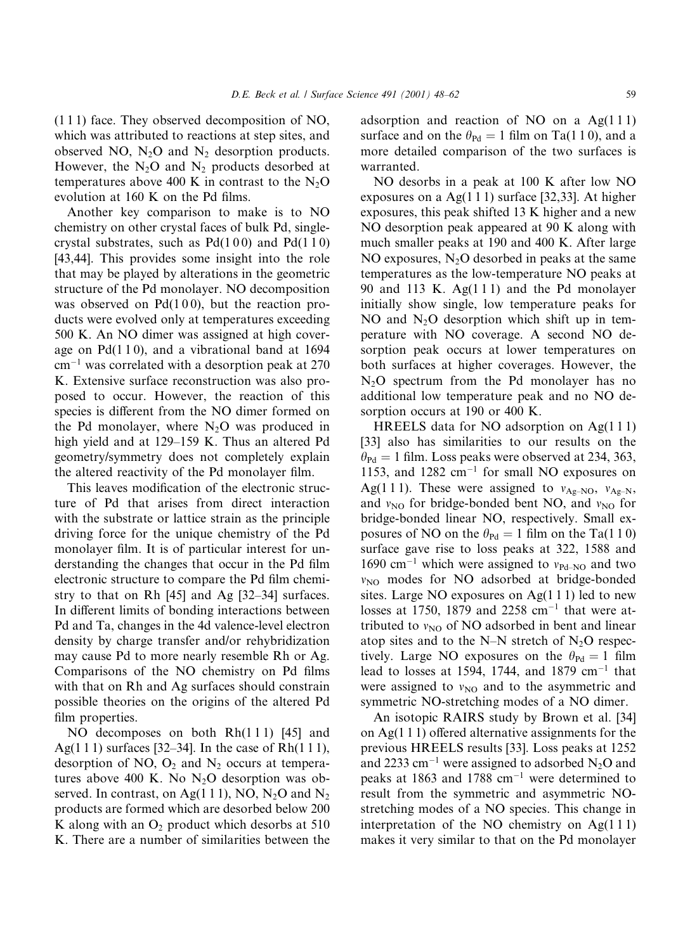$(111)$  face. They observed decomposition of NO, which was attributed to reactions at step sites, and observed NO,  $N_2O$  and  $N_2$  desorption products. However, the  $N_2O$  and  $N_2$  products desorbed at temperatures above 400 K in contrast to the  $N_2O$ evolution at 160 K on the Pd films.

Another key comparison to make is to NO chemistry on other crystal faces of bulk Pd, singlecrystal substrates, such as  $Pd(100)$  and  $Pd(110)$ [43,44]. This provides some insight into the role that may be played by alterations in the geometric structure of the Pd monolayer. NO decomposition was observed on  $Pd(100)$ , but the reaction products were evolved only at temperatures exceeding 500 K. An NO dimer was assigned at high coverage on  $Pd(110)$ , and a vibrational band at 1694  $cm^{-1}$  was correlated with a desorption peak at 270 K. Extensive surface reconstruction was also proposed to occur. However, the reaction of this species is different from the NO dimer formed on the Pd monolayer, where  $N_2O$  was produced in high yield and at 129–159 K. Thus an altered Pd geometry/symmetry does not completely explain the altered reactivity of the Pd monolayer film.

This leaves modification of the electronic structure of Pd that arises from direct interaction with the substrate or lattice strain as the principle driving force for the unique chemistry of the Pd monolayer film. It is of particular interest for understanding the changes that occur in the Pd film electronic structure to compare the Pd film chemistry to that on Rh  $[45]$  and Ag  $[32-34]$  surfaces. In different limits of bonding interactions between Pd and Ta, changes in the 4d valence-level electron density by charge transfer and/or rehybridization may cause Pd to more nearly resemble Rh or Ag. Comparisons of the NO chemistry on Pd films with that on Rh and Ag surfaces should constrain possible theories on the origins of the altered Pd film properties.

NO decomposes on both Rh(111) [45] and Ag(111) surfaces [32–34]. In the case of  $Rh(111)$ , desorption of NO,  $O_2$  and  $N_2$  occurs at temperatures above 400 K. No  $N_2O$  desorption was observed. In contrast, on Ag(1 1 1), NO,  $N_2O$  and  $N_2$ products are formed which are desorbed below 200 K along with an  $O_2$  product which desorbs at 510 K. There are a number of similarities between the

adsorption and reaction of NO on a  $Ag(111)$ surface and on the  $\theta_{\text{Pd}} = 1$  film on Ta(110), and a more detailed comparison of the two surfaces is warranted.

NO desorbs in a peak at 100 K after low NO exposures on a Ag $(1 1 1)$  surface [32,33]. At higher exposures, this peak shifted 13 K higher and a new NO desorption peak appeared at 90 K along with much smaller peaks at 190 and 400 K. After large NO exposures,  $N_2O$  desorbed in peaks at the same temperatures as the low-temperature NO peaks at 90 and 113 K.  $Ag(111)$  and the Pd monolayer initially show single, low temperature peaks for NO and  $N_2O$  desorption which shift up in temperature with NO coverage. A second NO desorption peak occurs at lower temperatures on both surfaces at higher coverages. However, the  $N_2O$  spectrum from the Pd monolayer has no additional low temperature peak and no NO desorption occurs at 190 or 400 K.

HREELS data for NO adsorption on  $Ag(111)$ [33] also has similarities to our results on the  $\theta_{\text{Pd}} = 1$  film. Loss peaks were observed at 234, 363, 1153, and 1282  $cm^{-1}$  for small NO exposures on Ag(111). These were assigned to  $v_{Ag-NO}$ ,  $v_{Ag-N}$ , and  $v_{\text{NO}}$  for bridge-bonded bent NO, and  $v_{\text{NO}}$  for bridge-bonded linear NO, respectively. Small exposures of NO on the  $\theta_{\text{Pd}} = 1$  film on the Ta(110) surface gave rise to loss peaks at 322, 1588 and 1690 cm<sup>-1</sup> which were assigned to  $v_{\text{Pd-NO}}$  and two  $v_{\text{NO}}$  modes for NO adsorbed at bridge-bonded sites. Large NO exposures on  $Ag(111)$  led to new losses at 1750, 1879 and 2258 cm<sup>-1</sup> that were attributed to  $v_{NO}$  of NO adsorbed in bent and linear atop sites and to the N-N stretch of  $N_2O$  respectively. Large NO exposures on the  $\theta_{\text{Pd}} = 1$  film lead to losses at 1594, 1744, and 1879 cm<sup>-1</sup> that were assigned to  $v_{\text{NO}}$  and to the asymmetric and symmetric NO-stretching modes of a NO dimer.

An isotopic RAIRS study by Brown et al. [34] on Ag $(1 1 1)$  offered alternative assignments for the previous HREELS results [33]. Loss peaks at 1252 and 2233 cm<sup>-1</sup> were assigned to adsorbed  $N_2O$  and peaks at 1863 and 1788  $cm^{-1}$  were determined to result from the symmetric and asymmetric NOstretching modes of a NO species. This change in interpretation of the NO chemistry on  $Ag(111)$ makes it very similar to that on the Pd monolayer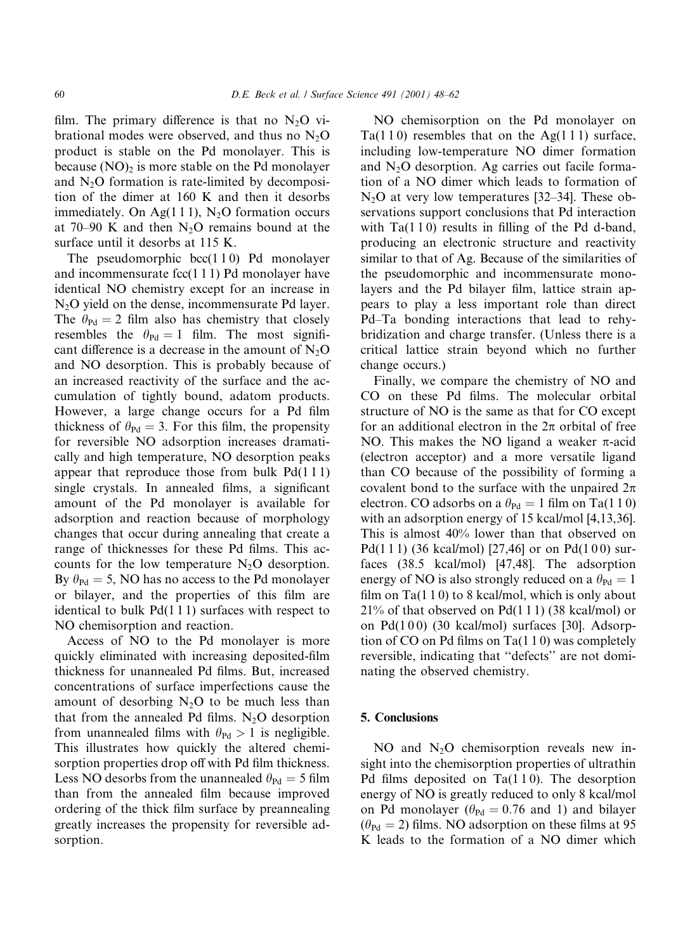film. The primary difference is that no  $N_2O$  vibrational modes were observed, and thus no  $N<sub>2</sub>O$ product is stable on the Pd monolayer. This is because  $(NO)_2$  is more stable on the Pd monolayer and  $N<sub>2</sub>O$  formation is rate-limited by decomposition of the dimer at 160 K and then it desorbs immediately. On Ag(111),  $N_2O$  formation occurs at 70–90 K and then  $N_2O$  remains bound at the surface until it desorbs at 115 K.

The pseudomorphic  $bcc(110)$  Pd monolayer and incommensurate  $fcc(111)$  Pd monolayer have identical NO chemistry except for an increase in  $N_2O$  yield on the dense, incommensurate Pd layer. The  $\theta_{\text{Pd}} = 2$  film also has chemistry that closely resembles the  $\theta_{\text{Pd}} = 1$  film. The most significant difference is a decrease in the amount of  $N_2O$ and NO desorption. This is probably because of an increased reactivity of the surface and the accumulation of tightly bound, adatom products. However, a large change occurs for a Pd film thickness of  $\theta_{\text{Pd}} = 3$ . For this film, the propensity for reversible NO adsorption increases dramatically and high temperature, NO desorption peaks appear that reproduce those from bulk  $Pd(111)$ single crystals. In annealed films, a significant amount of the Pd monolayer is available for adsorption and reaction because of morphology changes that occur during annealing that create a range of thicknesses for these Pd films. This accounts for the low temperature  $N_2O$  desorption. By  $\theta_{\text{Pd}} = 5$ , NO has no access to the Pd monolayer or bilayer, and the properties of this film are identical to bulk  $Pd(111)$  surfaces with respect to NO chemisorption and reaction.

Access of NO to the Pd monolayer is more quickly eliminated with increasing deposited-film thickness for unannealed Pd films. But, increased concentrations of surface imperfections cause the amount of desorbing  $N<sub>2</sub>O$  to be much less than that from the annealed Pd films.  $N_2O$  desorption from unannealed films with  $\theta_{\text{Pd}} > 1$  is negligible. This illustrates how quickly the altered chemisorption properties drop off with Pd film thickness. Less NO desorbs from the unannealed  $\theta_{\text{Pd}} = 5$  film than from the annealed film because improved ordering of the thick film surface by preannealing greatly increases the propensity for reversible adsorption.

NO chemisorption on the Pd monolayer on  $Ta(110)$  resembles that on the Ag(111) surface, including low-temperature NO dimer formation and  $N_2O$  desorption. Ag carries out facile formation of a NO dimer which leads to formation of  $N_2O$  at very low temperatures [32–34]. These observations support conclusions that Pd interaction with  $Ta(110)$  results in filling of the Pd d-band, producing an electronic structure and reactivity similar to that of Ag. Because of the similarities of the pseudomorphic and incommensurate monolayers and the Pd bilayer film, lattice strain appears to play a less important role than direct Pd–Ta bonding interactions that lead to rehybridization and charge transfer. (Unless there is a critical lattice strain beyond which no further change occurs.)

Finally, we compare the chemistry of NO and CO on these Pd films. The molecular orbital structure of NO is the same as that for CO except for an additional electron in the  $2\pi$  orbital of free NO. This makes the NO ligand a weaker  $\pi$ -acid (electron acceptor) and a more versatile ligand than CO because of the possibility of forming a covalent bond to the surface with the unpaired  $2\pi$ electron. CO adsorbs on a  $\theta_{\text{Pd}} = 1$  film on Ta(110) with an adsorption energy of 15 kcal/mol [4,13,36]. This is almost 40% lower than that observed on Pd(111) (36 kcal/mol) [27,46] or on Pd(100) surfaces (38.5 kcal/mol) [47,48]. The adsorption energy of NO is also strongly reduced on a  $\theta_{\text{Pd}} = 1$ film on  $Ta(110)$  to 8 kcal/mol, which is only about  $21\%$  of that observed on Pd(111) (38 kcal/mol) or on Pd(100) (30 kcal/mol) surfaces [30]. Adsorption of CO on Pd films on  $Ta(110)$  was completely reversible, indicating that "defects" are not dominating the observed chemistry.

## 5. Conclusions

NO and  $N_2O$  chemisorption reveals new insight into the chemisorption properties of ultrathin Pd films deposited on  $Ta(110)$ . The desorption energy of NO is greatly reduced to only 8 kcal/mol on Pd monolayer ( $\theta_{\text{Pd}} = 0.76$  and 1) and bilayer  $(\theta_{\text{Pd}} = 2)$  films. NO adsorption on these films at 95 K leads to the formation of a NO dimer which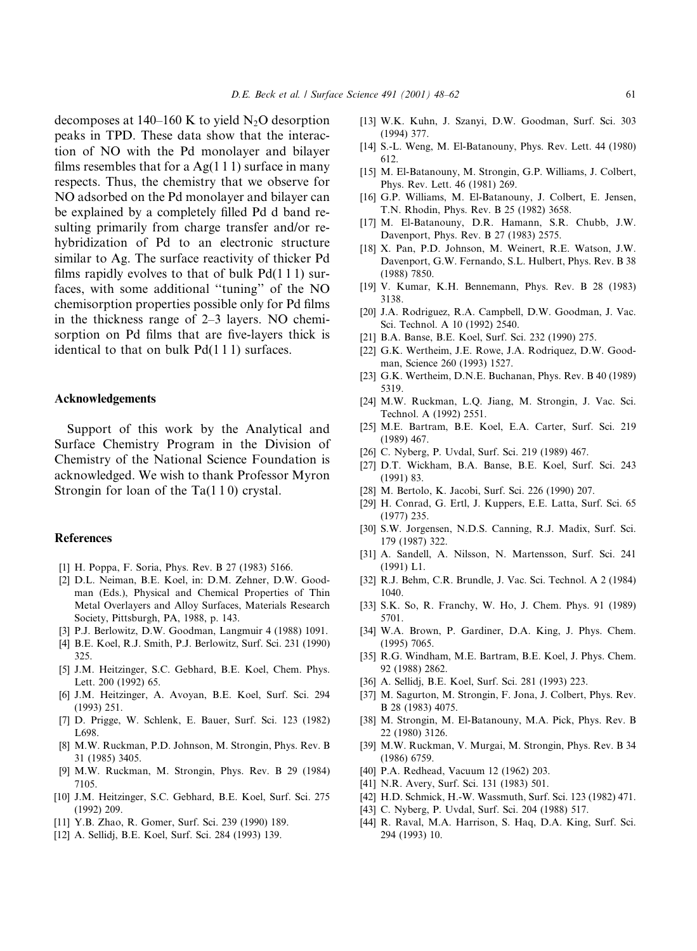decomposes at 140–160 K to yield  $N_2O$  desorption peaks in TPD. These data show that the interaction of NO with the Pd monolayer and bilayer films resembles that for a  $Ag(1\ 1\ 1)$  surface in many respects. Thus, the chemistry that we observe for NO adsorbed on the Pd monolayer and bilayer can be explained by a completely filled Pd d band resulting primarily from charge transfer and/or rehybridization of Pd to an electronic structure similar to Ag. The surface reactivity of thicker Pd films rapidly evolves to that of bulk  $Pd(111)$  surfaces, with some additional "tuning" of the NO chemisorption properties possible only for Pd films in the thickness range of  $2-3$  layers. NO chemisorption on Pd films that are five-layers thick is identical to that on bulk  $Pd(111)$  surfaces.

#### Acknowledgements

Support of this work by the Analytical and Surface Chemistry Program in the Division of Chemistry of the National Science Foundation is acknowledged. We wish to thank Professor Myron Strongin for loan of the  $Ta(110)$  crystal.

#### **References**

- [1] H. Poppa, F. Soria, Phys. Rev. B 27 (1983) 5166.
- [2] D.L. Neiman, B.E. Koel, in: D.M. Zehner, D.W. Goodman (Eds.), Physical and Chemical Properties of Thin Metal Overlayers and Alloy Surfaces, Materials Research Society, Pittsburgh, PA, 1988, p. 143.
- [3] P.J. Berlowitz, D.W. Goodman, Langmuir 4 (1988) 1091.
- [4] B.E. Koel, R.J. Smith, P.J. Berlowitz, Surf. Sci. 231 (1990) 325.
- [5] J.M. Heitzinger, S.C. Gebhard, B.E. Koel, Chem. Phys. Lett. 200 (1992) 65.
- [6] J.M. Heitzinger, A. Avoyan, B.E. Koel, Surf. Sci. 294  $(1993)$  251
- [7] D. Prigge, W. Schlenk, E. Bauer, Surf. Sci. 123 (1982) L698.
- [8] M.W. Ruckman, P.D. Johnson, M. Strongin, Phys. Rev. B 31 (1985) 3405.
- [9] M.W. Ruckman, M. Strongin, Phys. Rev. B 29 (1984) 7105.
- [10] J.M. Heitzinger, S.C. Gebhard, B.E. Koel, Surf. Sci. 275  $(1992)$  209.
- [11] Y.B. Zhao, R. Gomer, Surf. Sci. 239 (1990) 189.
- [12] A. Sellidj, B.E. Koel, Surf. Sci. 284 (1993) 139.
- [13] W.K. Kuhn, J. Szanyi, D.W. Goodman, Surf. Sci. 303  $(1994)$  377.
- [14] S.-L. Weng, M. El-Batanouny, Phys. Rev. Lett. 44 (1980) 612.
- [15] M. El-Batanouny, M. Strongin, G.P. Williams, J. Colbert, Phys. Rev. Lett. 46 (1981) 269.
- [16] G.P. Williams, M. El-Batanouny, J. Colbert, E. Jensen, T.N. Rhodin, Phys. Rev. B 25 (1982) 3658.
- [17] M. El-Batanouny, D.R. Hamann, S.R. Chubb, J.W. Davenport, Phys. Rev. B 27 (1983) 2575.
- [18] X. Pan, P.D. Johnson, M. Weinert, R.E. Watson, J.W. Davenport, G.W. Fernando, S.L. Hulbert, Phys. Rev. B 38  $(1988) 7850.$
- [19] V. Kumar, K.H. Bennemann, Phys. Rev. B 28 (1983) 3138.
- [20] J.A. Rodriguez, R.A. Campbell, D.W. Goodman, J. Vac. Sci. Technol. A 10 (1992) 2540.
- [21] B.A. Banse, B.E. Koel, Surf. Sci. 232 (1990) 275.
- [22] G.K. Wertheim, J.E. Rowe, J.A. Rodriquez, D.W. Goodman, Science 260 (1993) 1527.
- [23] G.K. Wertheim, D.N.E. Buchanan, Phys. Rev. B 40 (1989) 5319.
- [24] M.W. Ruckman, L.Q. Jiang, M. Strongin, J. Vac. Sci. Technol. A (1992) 2551.
- [25] M.E. Bartram, B.E. Koel, E.A. Carter, Surf. Sci. 219  $(1989)$  467.
- [26] C. Nyberg, P. Uvdal, Surf. Sci. 219 (1989) 467.
- [27] D.T. Wickham, B.A. Banse, B.E. Koel, Surf. Sci. 243  $(1991)$  83.
- [28] M. Bertolo, K. Jacobi, Surf. Sci. 226 (1990) 207.
- [29] H. Conrad, G. Ertl, J. Kuppers, E.E. Latta, Surf. Sci. 65  $(1977)$  235.
- [30] S.W. Jorgensen, N.D.S. Canning, R.J. Madix, Surf. Sci. 179 (1987) 322.
- [31] A. Sandell, A. Nilsson, N. Martensson, Surf. Sci. 241  $(1991)$  L1.
- [32] R.J. Behm, C.R. Brundle, J. Vac. Sci. Technol. A 2 (1984) 1040.
- [33] S.K. So, R. Franchy, W. Ho, J. Chem. Phys. 91 (1989) 5701.
- [34] W.A. Brown, P. Gardiner, D.A. King, J. Phys. Chem.  $(1995)$  7065.
- [35] R.G. Windham, M.E. Bartram, B.E. Koel, J. Phys. Chem. 92 (1988) 2862.
- [36] A. Sellidj, B.E. Koel, Surf. Sci. 281 (1993) 223.
- [37] M. Sagurton, M. Strongin, F. Jona, J. Colbert, Phys. Rev. B 28 (1983) 4075.
- [38] M. Strongin, M. El-Batanouny, M.A. Pick, Phys. Rev. B 22 (1980) 3126.
- [39] M.W. Ruckman, V. Murgai, M. Strongin, Phys. Rev. B 34  $(1986)$  6759.
- [40] P.A. Redhead, Vacuum 12 (1962) 203.
- [41] N.R. Avery, Surf. Sci. 131 (1983) 501.
- [42] H.D. Schmick, H.-W. Wassmuth, Surf. Sci. 123 (1982) 471.
- [43] C. Nyberg, P. Uvdal, Surf. Sci. 204 (1988) 517.
- [44] R. Raval, M.A. Harrison, S. Haq, D.A. King, Surf. Sci. 294 (1993) 10.